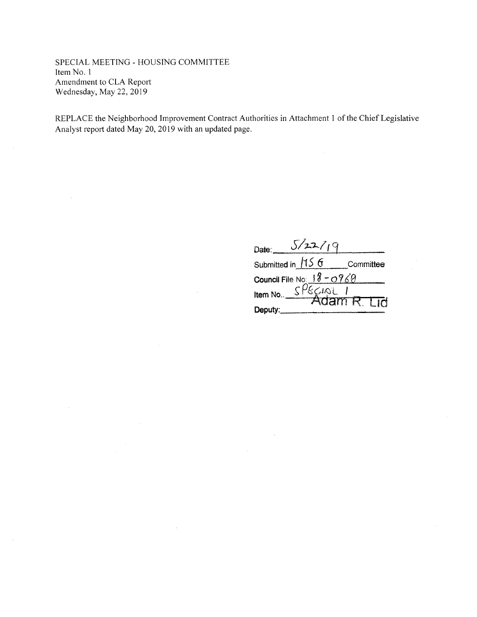SPECIAL MEETING - HOUSING COMMITTEE Item No. <sup>1</sup> Amendment to CLA Report Wednesday, May 22, 2019

REPLACE the Neighborhood Improvement Contract Authorities in Attachment 1 of the Chief Legislative Analyst report dated May 20, 2019 with an updated page.

Date: 5/22/19 Submitted in **15 6** Committee **Council File No.** <sup>1</sup> **~~ O ? Item No...** SPECIAL 1<br>Adam R. Lid **Deputy:,**